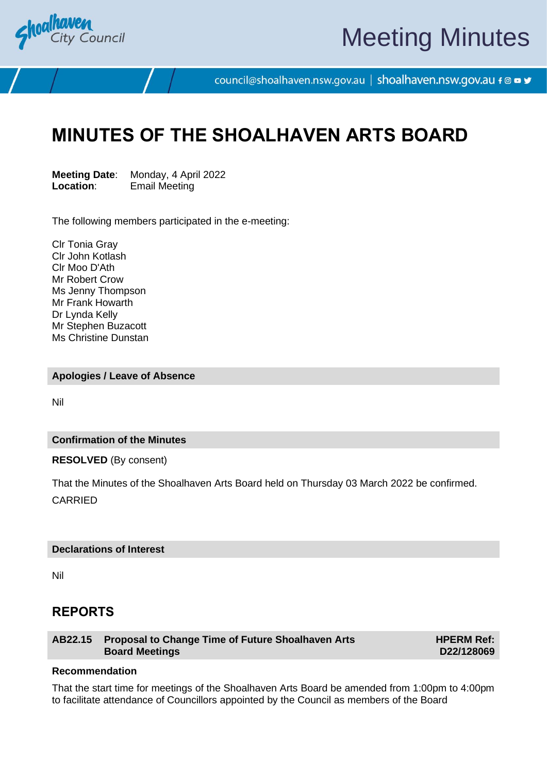

# Meeting Minutes

council@shoalhaven.nsw.gov.au | shoalhaven.nsw.gov.au f @ ■ y

## **MINUTES OF THE SHOALHAVEN ARTS BOARD**

**Meeting Date**: Monday, 4 April 2022 **Location**: Email Meeting

The following members participated in the e-meeting:

Clr Tonia Gray Clr John Kotlash Clr Moo D'Ath Mr Robert Crow Ms Jenny Thompson Mr Frank Howarth Dr Lynda Kelly Mr Stephen Buzacott Ms Christine Dunstan

**Apologies / Leave of Absence**

Nil

#### **Confirmation of the Minutes**

**RESOLVED** (By consent)

That the Minutes of the Shoalhaven Arts Board held on Thursday 03 March 2022 be confirmed. CARRIED

#### **Declarations of Interest**

Nil

### **REPORTS**

**AB22.15 Proposal to Change Time of Future Shoalhaven Arts Board Meetings**

**HPERM Ref: D22/128069**

#### **Recommendation**

That the start time for meetings of the Shoalhaven Arts Board be amended from 1:00pm to 4:00pm to facilitate attendance of Councillors appointed by the Council as members of the Board